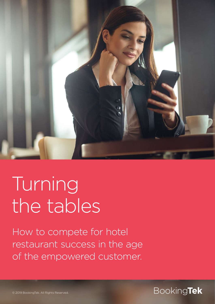

# Turning the tables

How to compete for hotel restaurant success in the age of the empowered customer.

#### © 2019 BookingTek. All Rights Reserved. Booking**Tek**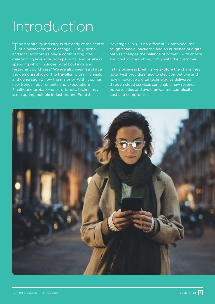#### Introduction

The hospitality industry is currently at the centre of a perfect storm of change. Firstly, global and local economies play a contributing role determining levels for both personal and business spending which includes hotel bookings and restaurant purchases.<sup>1</sup> We are also seeing a shift in the demographics of the traveller, with millennials and generation Z now the majority. With it comes new trends, requirements and expectations. Finally, and probably unsurprisingly, technology is disrupting multiple industries and Food &

Beverage (F&B) is no different<sup>2</sup>. Combined, the tough financial backdrop and an audience of digital natives changes the balance of power - with choice and control now sitting firmly with the customer.

In this business briefing we explore the challenges hotel F&B providers face to stay competitive and how innovative digital technologies delivered through cloud services can enable new revenue opportunities and avoid unwanted complexity, cost and compromise.

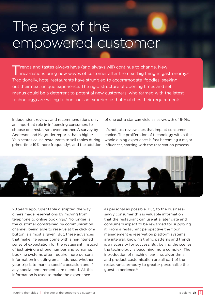### The age of the empowered customer

rends and tastes always have (and always will) continue to change. New incarnations bring new waves of customer after the next big thing in gastronomy.<sup>3</sup> Traditionally, hotel restaurants have struggled to accommodate 'foodies' seeking out their next unique experience. The rigid structure of opening times and set menus could be a deterrent to potential new customers, who (armed with the latest technology) are willing to hunt out an experience that matches their requirements.

Independent reviews and recommendations play an important role in influencing consumers to choose one restaurant over another. A survey by Anderson and Magruder reports that a higher Yelp scores cause restaurants to sell tables during prime-time 19% more frequently<sup>4</sup>, and the addition influencer, starting with the reservation process.

of one extra star can yield sales growth of 5-9%.

It's not just review sites that impact consumer choice. The proliferation of technology within the whole dining experience is fast becoming a major



20 years ago, OpenTable disrupted the way diners made reservations by moving from telephone to online bookings.<sup>5</sup> No longer is the customer constrained by communication channel, being able to reserve at the click of a button is almost a given. But, these advances that make life easier come with a heightened sense of expectation for the restaurant. Instead of just giving a phone number and surname, booking systems often require more personal information including email address, whether your trip is to mark a specific occasion and if any special requirements are needed. All this information is used to make the experience

as personal as possible. But, to the businesssavvy consumer this is valuable information that the restaurant can use at a later date and consumers expect to be rewarded for supplying it. From a restaurant perspective the floor management & reservation platform systems are integral, knowing traffic patterns and trends is a necessity for success. But behind the scenes the technology is becoming more complex. The introduction of machine learning, algorithms and product customisation are all part of the restaurants armoury to greater personalise the guest experience.5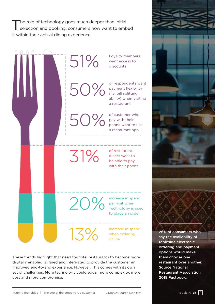The role of technology goes much deeper than initial<br>selection and booking, consumers now want to embed it within their actual dining experience.



These trends highlight that need for hotel restaurants to become more digitally enabled, aligned and integrated to provide the customer an improved end-to-end experience. However, This comes with its own set of challenges. More technology could equal more complexity, more cost and more compromise.

restaurant over another.

Restaurant Association

Source National

2019 Factbook.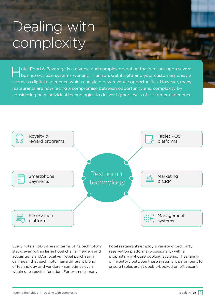### Dealing with complexity

I otel Food & Beverage is a diverse and complex operation that's reliant upon several business-critical systems working in unison. Get it right and your customers enjoy a seamless digital experience which can yield new revenue opportunities. However, many restaurants are now facing a compromise between opportunity and complexity by considering new individual technologies to deliver higher levels of customer experience.



Every hotels F&B differs in terms of its technology stack, even within large hotel chains. Mergers and acquisitions and/or local vs global purchasing can mean that each hotel has a different blend of technology and vendors - sometimes even within one specific function. For example, many

hotel restaurants employ a variety of 3rd party reservation platforms (occasionally) with a proprietary in-house booking systems. Thesharing of inventory between these systems is paramount to ensure tables aren't double-booked or left vacant.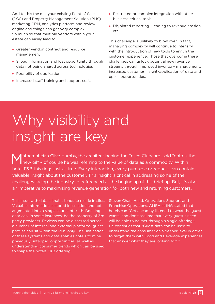Add to this the mix your existing Point of Sale (POS) and Property Management Solution (PMS), marketing CRM, analytics platform and review engine and things can get very complex. So much so that multiple vendors within your estate can easily lead to:

- **Greater vendor, contract and resource** management
- Siloed information and lost opportunity through data not being shared across technologies
- **Possibility of duplication**
- **Increased staff training and support costs**
- Restricted or complex integration with other business critical tools
- Disjointed reporting leading to revenue erosion etc

This challenge is unlikely to blow over. In fact, managing complexity will continue to intensify with the introduction of new tools to enrich the customer experience. Those that overcome these challenges can unlock potential new revenue streams through improved inventory management, increased customer insight/application of data and upsell opportunities.

### Why visibility and insight are key

athematician Clive Humby, the architect behind the Tesco Clubcard, said "data is the new oil" - of course he was referring to the value of data as a commodity. Within hotel F&B this rings just as true. Every interaction, every purchase or request can contain valuable insight about the customer. This insight is critical in addressing some of the challenges facing the industry, as referenced at the beginning of this briefing. But, it's also an imperative to maximising revenue generation for both new and returning customers.

This issue with data is that it tends to reside in silos. Valuable information is stored in isolation and not augmented into a single source of truth. Booking data can, in some instances, be the property of 3rd party providers. Reviews can be dispersed across a number of internal and external platforms, guest profiles can sit within the PMS only. The unification of these systems and data enables hotels to mine previously untapped opportunities, as well as understanding consumer trends which can be used to shape the hotels F&B offering.

Steven Chan, Head, Operations Support and Franchise Operations, AMEA at IHG stated that hotels can "Get ahead by listened to what the guest wants, and don't assume that every guest's need will be able to be met through a single offering". He continues that "Guest data can be used to understand the consumer on a deeper level in order to target them with Food and Beverage experiences that answer what they are looking for".8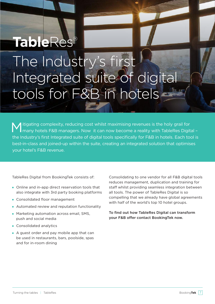## **TableRes®**

The Industry's first Integrated suite of digital tools for F&B in hotels

M itigating complexity, reducing cost whilst maximising revenues is the holy grail for<br>many hotels F&B managers. Now it can now become a reality with TableRes Digital the Industry's first Integrated suite of digital tools specifically for F&B in hotels. Each tool is best-in-class and joined-up within the suite, creating an integrated solution that optimises your hotel's F&B revenue.

TableRes Digital from BookingTek consists of:

- Online and in-app direct reservation tools that also integrate with 3rd party booking platforms
- Consolidated floor management
- Automated review and reputation functionality
- **Marketing automation across email, SMS,** push and social media
- Consolidated analytics
- A guest order and pay mobile app that can be used in restaurants, bars, poolside, spas and for in-room dining

Consolidating to one vendor for all F&B digital tools reduces management, duplication and training for staff whilst providing seamless integration between all tools. The power of TableRes Digital is so compelling that we already have global agreements with half of the world's top 10 hotel groups.

To find out how TableRes Digital can transform your F&B offer contact BookingTek now.